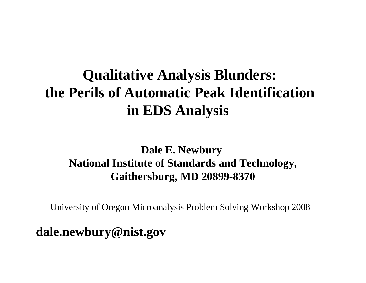# **Qualitative Analysis Blunders: the Perils of Automatic Peak Identification in EDS Analysis**

## **Dale E. Newbury National Institute of Standards and Technology, Gaithersburg, MD 20899-8370**

University of Oregon Microanalysis Problem Solving Workshop 2008

**dale.newbury@nist.gov**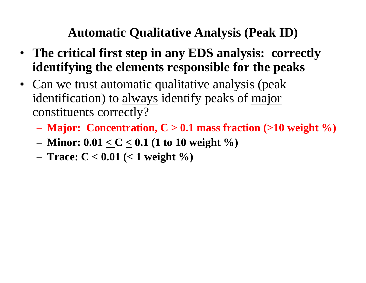## **Automatic Qualitative Analysis (Peak ID)**

- **The critical first step in any EDS analysis: correctly identifying the elements responsible for the peaks**
- Can we trust automatic qualitative analysis (peak identification) to always identify peaks of major constituents correctly?
	- **Major: Concentration, C > 0.1 mass fraction (>10 weight %)**
	- **Minor: 0.01 < C < 0.1 (1 to 10 weight %)**
	- **Trace: C < 0.01 (< 1 weight %)**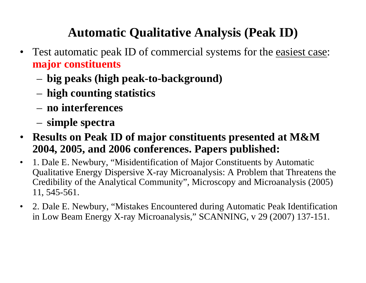## **Automatic Qualitative Analysis (Peak ID)**

- $\bullet$  Test automatic peak ID of commercial systems for the easiest case: **major constituents**
	- **big peaks (high peak-to-background)**
	- **high counting statistics**
	- **no interferences**
	- **simple spectra**
- $\bullet$  **Results on Peak ID of major constituents presented at M&M 2004, 2005, and 2006 conferences. Papers published:**
- $\bullet$  1. Dale E. Newbury, "Misidentification of Major Constituents by Automatic Qualitative Energy Dispersive X-ray Microanalysis: A Problem that Threatens the Credibility of the Analytical Community", Microscopy and Microanalysis (2005) 11, 545-561.
- $\bullet$  2. Dale E. Newbury, "Mistakes Encountered during Automatic Peak Identification in Low Beam Energy X-ray Microanalysis," SCANNING, v 29 (2007) 137-151.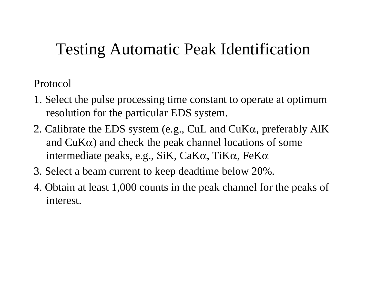# Testing Automatic Peak Identification

Protocol

- 1. Select the pulse processing time constant to operate at optimum resolution for the particular EDS system.
- 2. Calibrate the EDS system (e.g., CuL and CuK <sup>α</sup>, preferably AlK and  $CuK\alpha$ ) and check the peak channel locations of some intermediate peaks, e.g., SiK, CaKα, TiK <sup>α</sup>, FeK α
- 3. Select a beam current to keep deadtime below 20%.
- 4. Obtain at least 1,000 counts in the peak channel for the peaks of interest.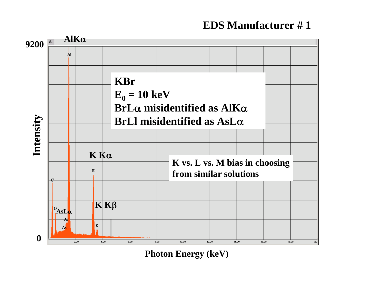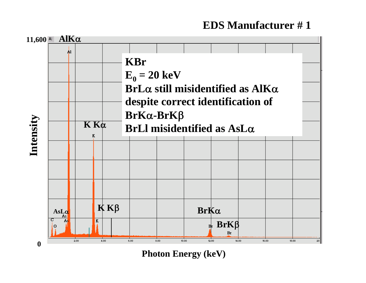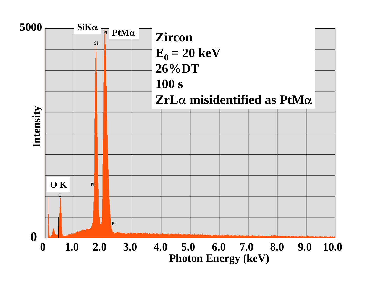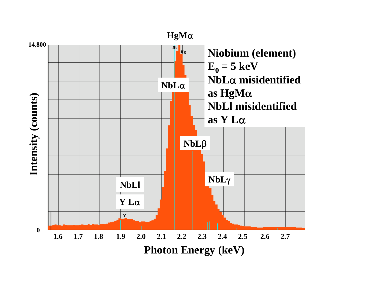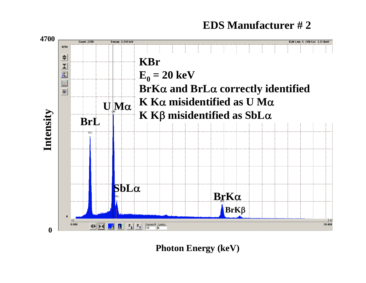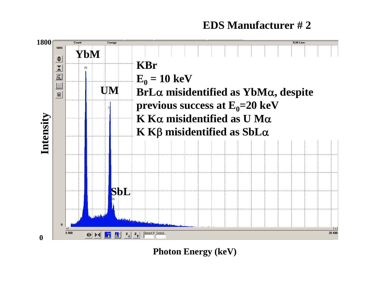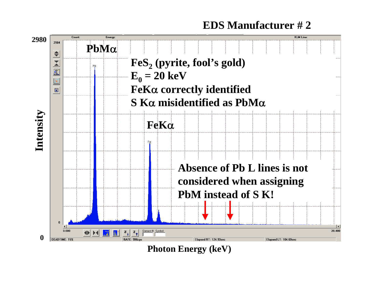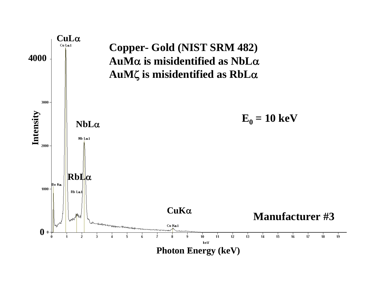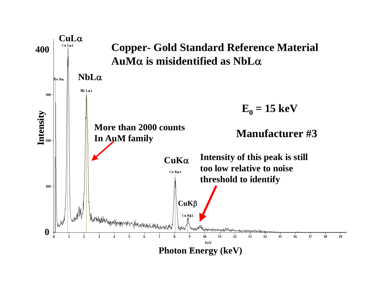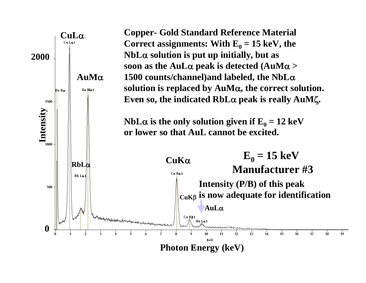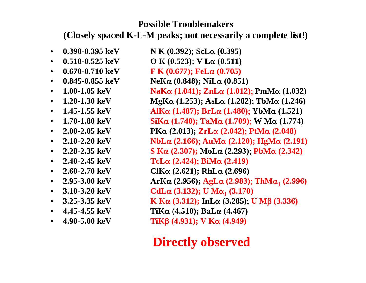#### **Possible Troublemakers**

**(Closely spaced K-L-M peaks; not necessarily a complete list!)**

• **0.390-0.395 keV N K (0.392); ScL**α **(0.395)**  $\cdot$  0.510-0.525 keV **0.510-0.525 keV O K (0.523); V L**α **(0.511)**  $\cdot$  0.670-0.710 keV **0.670-0.710 keV F K (0.677); FeL**α **(0.705)**  $\cdot$  0.845-0.855 keV **NeK**α **(0.848); NiL**α **(0.851)** •  $1.00 - 1.05 \text{ keV}$  **1.00-1.05 keV NaK**α **(1.041); ZnL**α **(1.012)**; **PmM**α **(1.032)** •  $1.20 - 1.30 \text{ keV}$  **1.20-1.30 keV MgK**α **(1.253); AsL**α **(1.282)**; **TbM**α **(1.246)** •  $1.45 - 1.55 \text{ keV}$  **1.45-1.55 keV AlK**α **(1.487); BrL**α **(1.480)**; **YbM**α **(1.521)** •  $1.70 - 1.80 \text{ keV}$ **5iK**α (1.740); TaMα (1.709); W Mα (1.774) •  $2.00 - 2.05 \text{ keV}$  **2.00-2.05 keV PK**α **(2.013); ZrL**α **(2.042)**; **PtM**α **(2.048)** •  $2.10 - 2.20 \text{ keV}$  **2.10-2.20 keV NbL**α **(2.166)**; **AuM**α **(2.120); HgM**α **(2.191)** •  $2.28 - 2.35 \text{ keV}$  **2.28-2.35 keV S K**α **(2.307); MoL**α **(2.293)**; **PbM**α (**2.342)** •  $2.40 - 2.45$  keV  $Tcla$  **(2.424);**  $\text{BiM}\alpha$  **(2.419)** •  $2.60 - 2.70 \text{ keV}$  **2.60-2.70 keV ClK**α **(2.621); RhL**α **(2.696)** •  $2.95 - 3.00 \text{ keV}$  **2.95-3.00 keV ArK**α **(2.956); AgL**α **(2.983)**; **ThM**α1 **(2.996)** • **3.10-3.20 keVCdL**α **(3.132)**; **U** M<sub>α<sub>1</sub></sub> **(3.170)** •  $3.25 - 3.35 \text{ keV}$  **3.25-3.35 keV K K**α **(3.312); InL**α **(3.285)**; **U M**β **(3.336)** •  $4.45 - 4.55$  keV **4.45-4.55 keV TiK**α **(4.510); BaL**α **(4.467)** • **4.90-5.00 keVTiK**β **(4.931); V K**α **(4.949)**

## **Directly observed**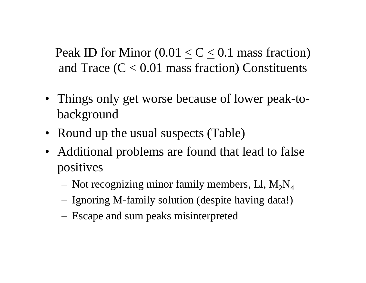Peak ID for Minor  $(0.01 < C < 0.1$  mass fraction) and Trace  $(C < 0.01$  mass fraction) Constituents

- Things only get worse because of lower peak-tobackground
- Round up the usual suspects (Table)
- Additional problems are found that lead to false positives
	- Not recognizing minor family members, Ll,  $M_2N_4$
	- Ignoring M-family solution (despite having data!)
	- Escape and sum peaks misinterpreted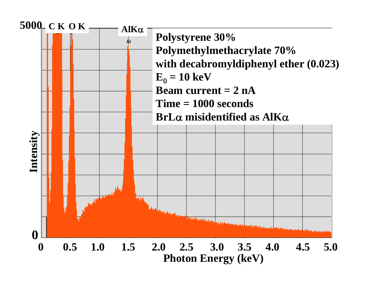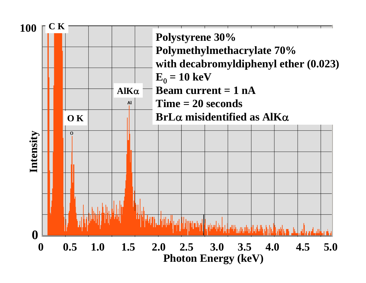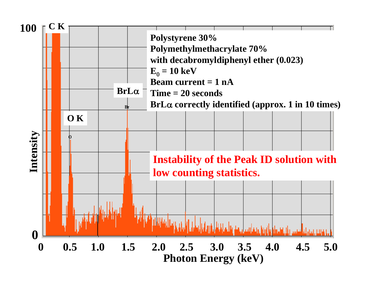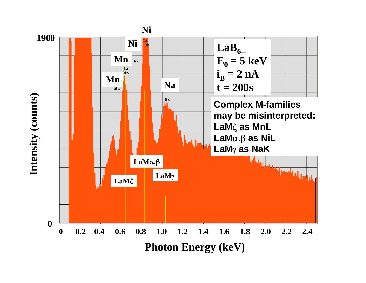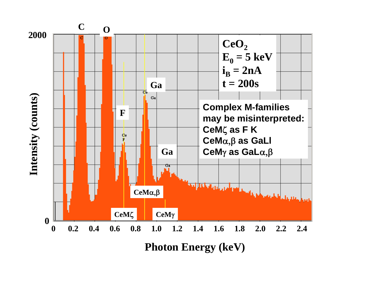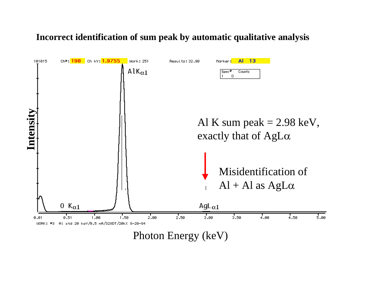#### **Incorrect identification of sum peak by automatic qualitative analysis**

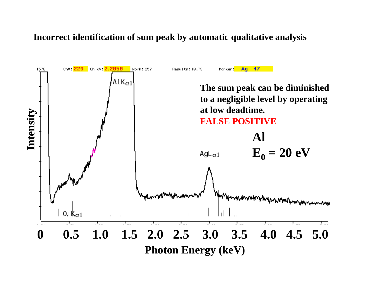#### **Incorrect identification of sum peak by automatic qualitative analysis**

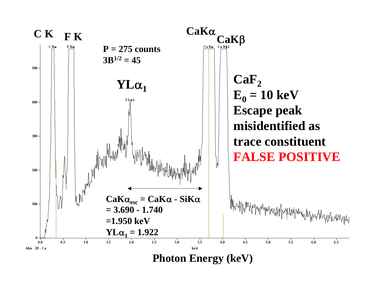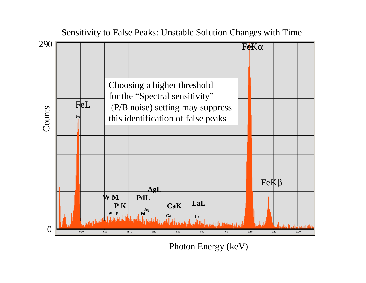

Sensitivity to False Peaks: Unstable Solution Changes with Time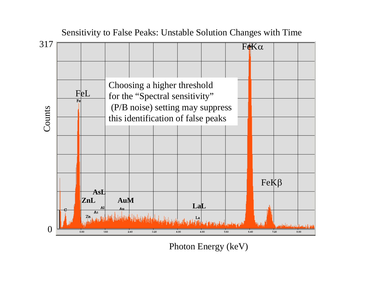

Sensitivity to False Peaks: Unstable Solution Changes with Time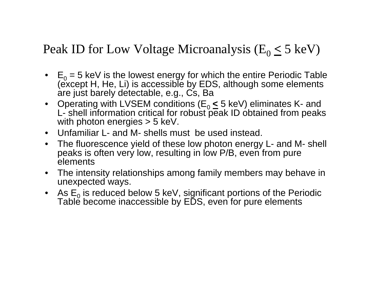## Peak ID for Low Voltage Microanalysis (E 0**<** 5 keV)

- • E  $\mathsf{E}_0$  = 5 keV is the lowest energy for which the entire Periodic Table<br>(except H, He, Li) is accessible by EDS, although some elements are just barely detectable, e.g., Cs, Ba
- Operating with LVSEM conditions (E 0**<sup>&</sup>lt;** 5 keV) eliminates K- and L- shell information critical for robust peak ID obtained from peaks with photon energies > 5 keV.
- Unfamiliar L- and M- shells must be used instead.
- The fluorescence yield of these low photon energy L- and M- shell peaks is often very low, resulting in low P/B, even from pure elements
- The intensity relationships among family members may behave in unexpected ways.
- As E Table become inaccessible by EDS, even for pure elements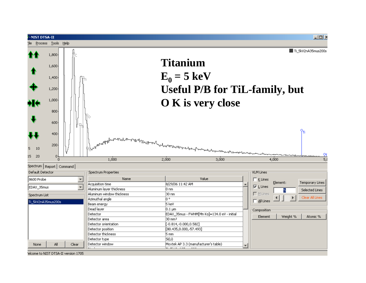

elcome to NIST DTSA-II version 1705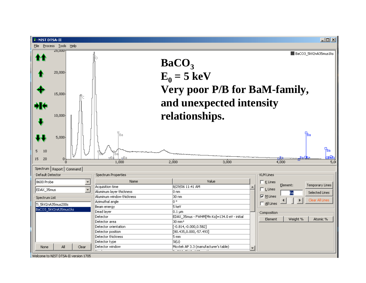

Welcome to NIST DTSA-II version 1705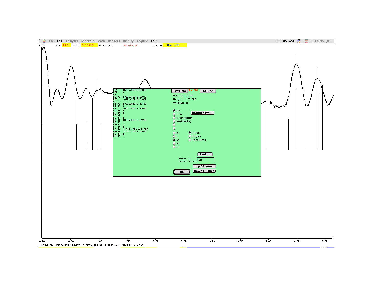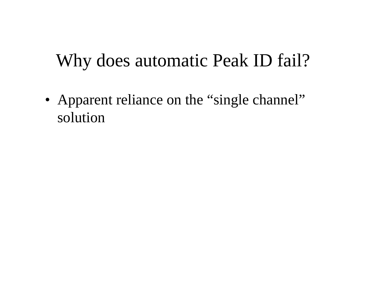# Why does automatic Peak ID fail?

• Apparent reliance on the "single channel" solution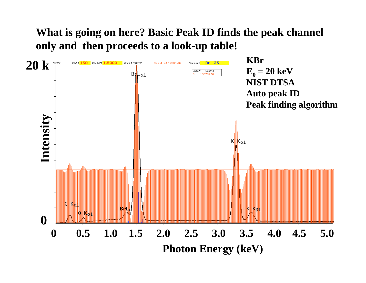### **What is going on here? Basic Peak ID finds the peak channel only and then proceeds to a look-up table!**

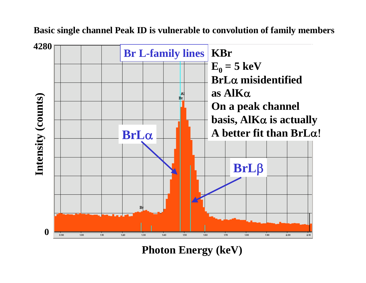**Basic single channel Peak ID is vulnerable to convolution of family members**

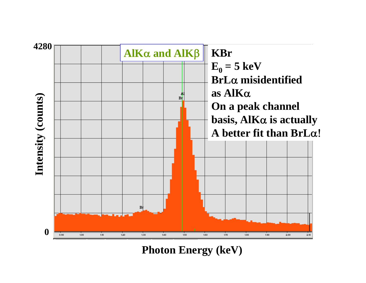

**Photon Energy (keV)**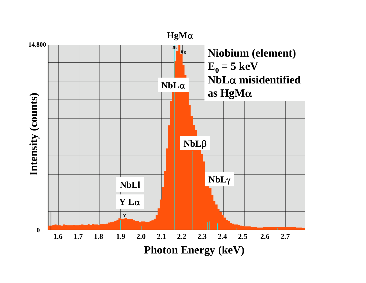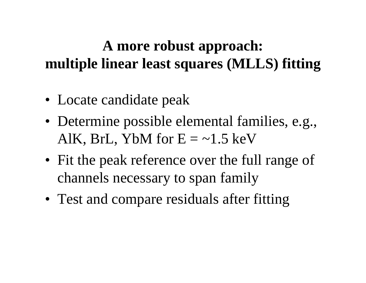# **A more robust approach: multiple linear least squares (MLLS) fitting**

- Locate candidate peak
- Determine possible elemental families, e.g., AlK, BrL, YbM for  $E = -1.5 \text{ keV}$
- Fit the peak reference over the full range of channels necessary to span family
- Test and compare residuals after fitting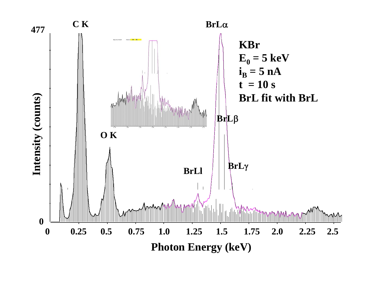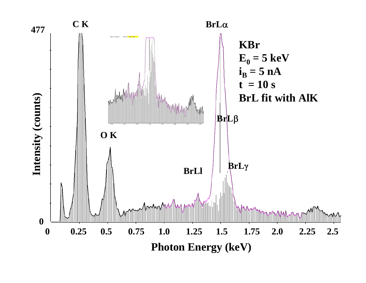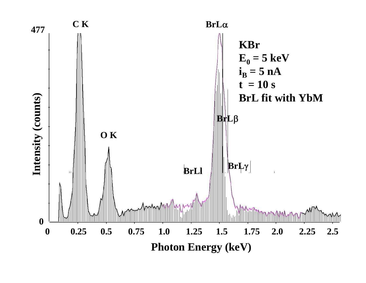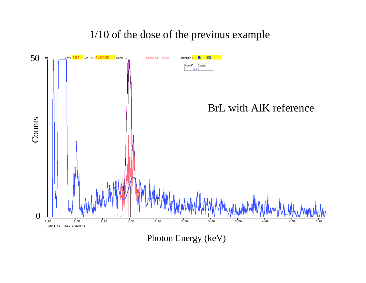### 1/10 of the dose of the previous example



Photon Energy (keV)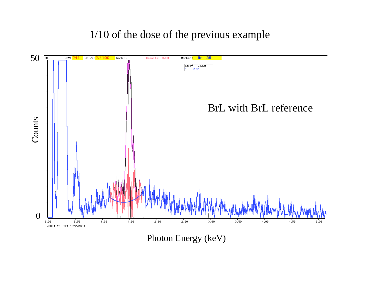1/10 of the dose of the previous example



Photon Energy (keV)